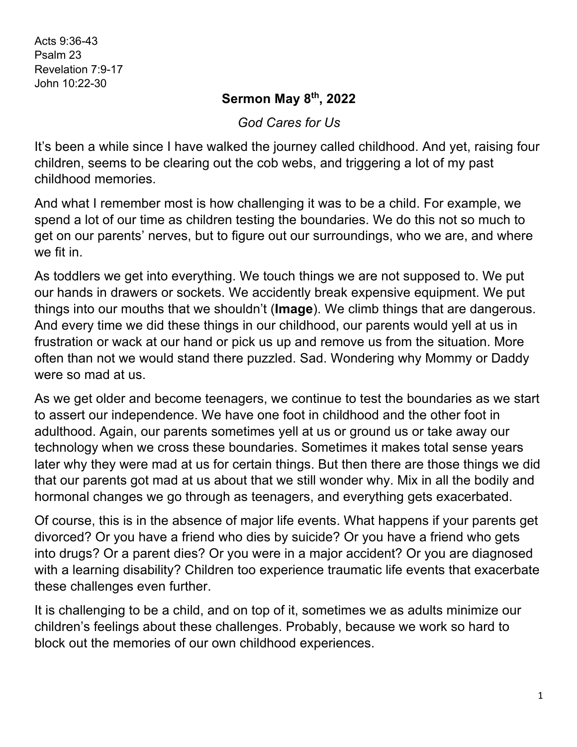Acts 9:36-43 Psalm 23 Revelation 7:9-17 John 10:22-30

## **Sermon May 8th, 2022**

*God Cares for Us*

It's been a while since I have walked the journey called childhood. And yet, raising four children, seems to be clearing out the cob webs, and triggering a lot of my past childhood memories.

And what I remember most is how challenging it was to be a child. For example, we spend a lot of our time as children testing the boundaries. We do this not so much to get on our parents' nerves, but to figure out our surroundings, who we are, and where we fit in.

As toddlers we get into everything. We touch things we are not supposed to. We put our hands in drawers or sockets. We accidently break expensive equipment. We put things into our mouths that we shouldn't (**Image**). We climb things that are dangerous. And every time we did these things in our childhood, our parents would yell at us in frustration or wack at our hand or pick us up and remove us from the situation. More often than not we would stand there puzzled. Sad. Wondering why Mommy or Daddy were so mad at us.

As we get older and become teenagers, we continue to test the boundaries as we start to assert our independence. We have one foot in childhood and the other foot in adulthood. Again, our parents sometimes yell at us or ground us or take away our technology when we cross these boundaries. Sometimes it makes total sense years later why they were mad at us for certain things. But then there are those things we did that our parents got mad at us about that we still wonder why. Mix in all the bodily and hormonal changes we go through as teenagers, and everything gets exacerbated.

Of course, this is in the absence of major life events. What happens if your parents get divorced? Or you have a friend who dies by suicide? Or you have a friend who gets into drugs? Or a parent dies? Or you were in a major accident? Or you are diagnosed with a learning disability? Children too experience traumatic life events that exacerbate these challenges even further.

It is challenging to be a child, and on top of it, sometimes we as adults minimize our children's feelings about these challenges. Probably, because we work so hard to block out the memories of our own childhood experiences.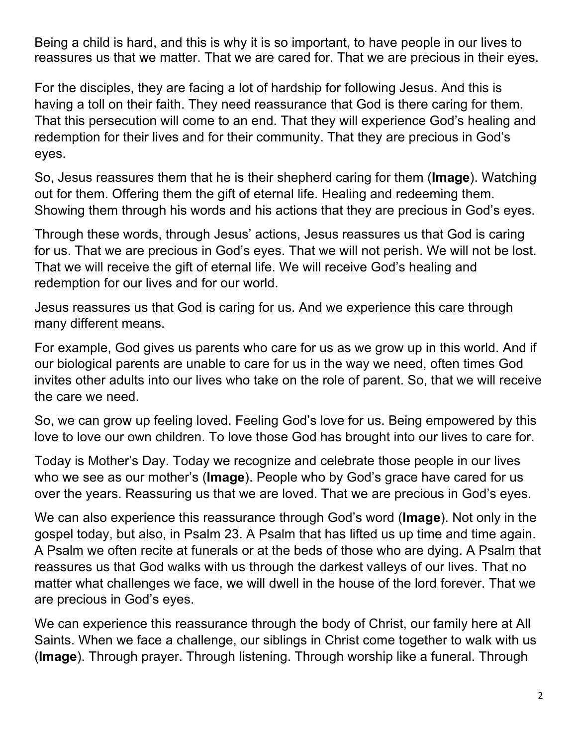Being a child is hard, and this is why it is so important, to have people in our lives to reassures us that we matter. That we are cared for. That we are precious in their eyes.

For the disciples, they are facing a lot of hardship for following Jesus. And this is having a toll on their faith. They need reassurance that God is there caring for them. That this persecution will come to an end. That they will experience God's healing and redemption for their lives and for their community. That they are precious in God's eyes.

So, Jesus reassures them that he is their shepherd caring for them (**Image**). Watching out for them. Offering them the gift of eternal life. Healing and redeeming them. Showing them through his words and his actions that they are precious in God's eyes.

Through these words, through Jesus' actions, Jesus reassures us that God is caring for us. That we are precious in God's eyes. That we will not perish. We will not be lost. That we will receive the gift of eternal life. We will receive God's healing and redemption for our lives and for our world.

Jesus reassures us that God is caring for us. And we experience this care through many different means.

For example, God gives us parents who care for us as we grow up in this world. And if our biological parents are unable to care for us in the way we need, often times God invites other adults into our lives who take on the role of parent. So, that we will receive the care we need.

So, we can grow up feeling loved. Feeling God's love for us. Being empowered by this love to love our own children. To love those God has brought into our lives to care for.

Today is Mother's Day. Today we recognize and celebrate those people in our lives who we see as our mother's (**Image**). People who by God's grace have cared for us over the years. Reassuring us that we are loved. That we are precious in God's eyes.

We can also experience this reassurance through God's word (**Image**). Not only in the gospel today, but also, in Psalm 23. A Psalm that has lifted us up time and time again. A Psalm we often recite at funerals or at the beds of those who are dying. A Psalm that reassures us that God walks with us through the darkest valleys of our lives. That no matter what challenges we face, we will dwell in the house of the lord forever. That we are precious in God's eyes.

We can experience this reassurance through the body of Christ, our family here at All Saints. When we face a challenge, our siblings in Christ come together to walk with us (**Image**). Through prayer. Through listening. Through worship like a funeral. Through